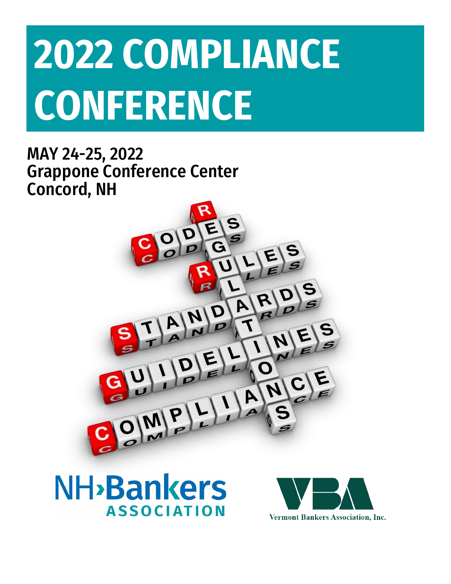# **2022 COMPLIANCE CONFERENCE**

MAY 24-25, 2022 Grappone Conference Center Concord, NH





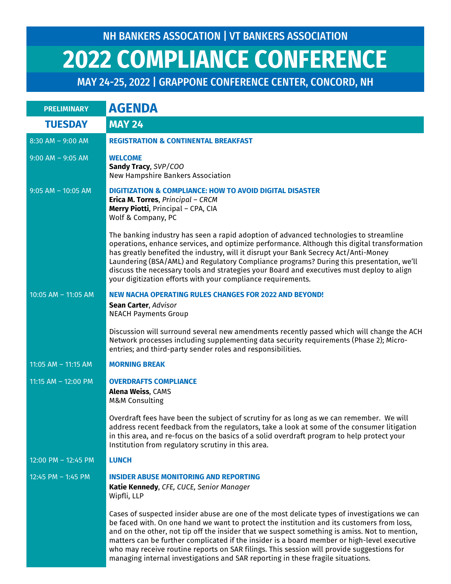| <b>PRELIMINARY</b>    | <b>AGENDA</b>                                                                                                                                                                                                                                                                                                                                                                                                                                                                                                                                                              |
|-----------------------|----------------------------------------------------------------------------------------------------------------------------------------------------------------------------------------------------------------------------------------------------------------------------------------------------------------------------------------------------------------------------------------------------------------------------------------------------------------------------------------------------------------------------------------------------------------------------|
| <b>TUESDAY</b>        | <b>MAY 24</b>                                                                                                                                                                                                                                                                                                                                                                                                                                                                                                                                                              |
| 8:30 AM - 9:00 AM     | <b>REGISTRATION &amp; CONTINENTAL BREAKFAST</b>                                                                                                                                                                                                                                                                                                                                                                                                                                                                                                                            |
| $9:00$ AM - $9:05$ AM | <b>WELCOME</b><br>Sandy Tracy, SVP/COO<br>New Hampshire Bankers Association                                                                                                                                                                                                                                                                                                                                                                                                                                                                                                |
| $9:05$ AM - 10:05 AM  | <b>DIGITIZATION &amp; COMPLIANCE: HOW TO AVOID DIGITAL DISASTER</b><br>Erica M. Torres, Principal - CRCM<br>Merry Piotti, Principal - CPA, CIA<br>Wolf & Company, PC                                                                                                                                                                                                                                                                                                                                                                                                       |
|                       | The banking industry has seen a rapid adoption of advanced technologies to streamline<br>operations, enhance services, and optimize performance. Although this digital transformation<br>has greatly benefited the industry, will it disrupt your Bank Secrecy Act/Anti-Money<br>Laundering (BSA/AML) and Regulatory Compliance programs? During this presentation, we'll<br>discuss the necessary tools and strategies your Board and executives must deploy to align<br>your digitization efforts with your compliance requirements.                                     |
| $10:05$ AM - 11:05 AM | <b>NEW NACHA OPERATING RULES CHANGES FOR 2022 AND BEYOND!</b><br>Sean Carter, Advisor<br><b>NEACH Payments Group</b>                                                                                                                                                                                                                                                                                                                                                                                                                                                       |
|                       | Discussion will surround several new amendments recently passed which will change the ACH<br>Network processes including supplementing data security requirements (Phase 2); Micro-<br>entries; and third-party sender roles and responsibilities.                                                                                                                                                                                                                                                                                                                         |
| 11:05 AM - 11:15 AM   | <b>MORNING BREAK</b>                                                                                                                                                                                                                                                                                                                                                                                                                                                                                                                                                       |
| 11:15 AM - 12:00 PM   | <b>OVERDRAFTS COMPLIANCE</b><br><b>Alena Weiss, CAMS</b><br><b>M&amp;M Consulting</b>                                                                                                                                                                                                                                                                                                                                                                                                                                                                                      |
|                       | Overdraft fees have been the subject of scrutiny for as long as we can remember. We will<br>address recent feedback from the regulators, take a look at some of the consumer litigation<br>in this area, and re-focus on the basics of a solid overdraft program to help protect your<br>Institution from regulatory scrutiny in this area.                                                                                                                                                                                                                                |
| 12:00 PM - 12:45 PM   | <b>LUNCH</b>                                                                                                                                                                                                                                                                                                                                                                                                                                                                                                                                                               |
| 12:45 PM - 1:45 PM    | <b>INSIDER ABUSE MONITORING AND REPORTING</b><br>Katie Kennedy, CFE, CUCE, Senior Manager<br>Wipfli, LLP                                                                                                                                                                                                                                                                                                                                                                                                                                                                   |
|                       | Cases of suspected insider abuse are one of the most delicate types of investigations we can<br>be faced with. On one hand we want to protect the institution and its customers from loss,<br>and on the other, not tip off the insider that we suspect something is amiss. Not to mention,<br>matters can be further complicated if the insider is a board member or high-level executive<br>who may receive routine reports on SAR filings. This session will provide suggestions for<br>managing internal investigations and SAR reporting in these fragile situations. |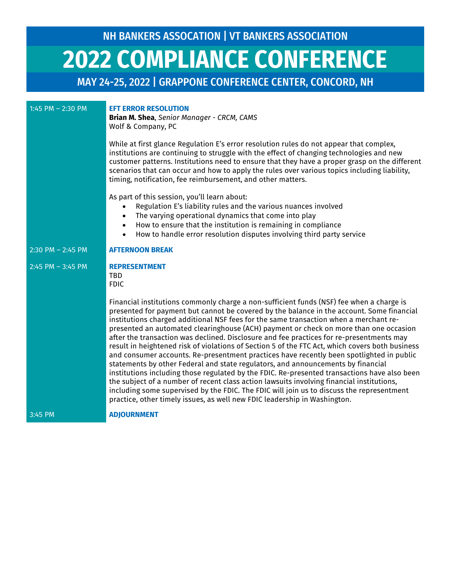| 1:45 PM $-$ 2:30 PM   | <b>EFT ERROR RESOLUTION</b><br>Brian M. Shea, Senior Manager - CRCM, CAMS<br>Wolf & Company, PC                                                                                                                                                                                                                                                                                                                                                                                                                                                                                                                                                                                                                                                                                                                                                                                                                                                                                                                                                                                                                               |
|-----------------------|-------------------------------------------------------------------------------------------------------------------------------------------------------------------------------------------------------------------------------------------------------------------------------------------------------------------------------------------------------------------------------------------------------------------------------------------------------------------------------------------------------------------------------------------------------------------------------------------------------------------------------------------------------------------------------------------------------------------------------------------------------------------------------------------------------------------------------------------------------------------------------------------------------------------------------------------------------------------------------------------------------------------------------------------------------------------------------------------------------------------------------|
|                       | While at first glance Regulation E's error resolution rules do not appear that complex,<br>institutions are continuing to struggle with the effect of changing technologies and new<br>customer patterns. Institutions need to ensure that they have a proper grasp on the different<br>scenarios that can occur and how to apply the rules over various topics including liability,<br>timing, notification, fee reimbursement, and other matters.                                                                                                                                                                                                                                                                                                                                                                                                                                                                                                                                                                                                                                                                           |
|                       | As part of this session, you'll learn about:<br>Regulation E's liability rules and the various nuances involved<br>The varying operational dynamics that come into play<br>How to ensure that the institution is remaining in compliance<br>$\bullet$<br>How to handle error resolution disputes involving third party service<br>$\bullet$                                                                                                                                                                                                                                                                                                                                                                                                                                                                                                                                                                                                                                                                                                                                                                                   |
| $2:30$ PM $- 2:45$ PM | <b>AFTERNOON BREAK</b>                                                                                                                                                                                                                                                                                                                                                                                                                                                                                                                                                                                                                                                                                                                                                                                                                                                                                                                                                                                                                                                                                                        |
| $2:45$ PM $- 3:45$ PM | <b>REPRESENTMENT</b><br><b>TBD</b><br><b>FDIC</b>                                                                                                                                                                                                                                                                                                                                                                                                                                                                                                                                                                                                                                                                                                                                                                                                                                                                                                                                                                                                                                                                             |
|                       | Financial institutions commonly charge a non-sufficient funds (NSF) fee when a charge is<br>presented for payment but cannot be covered by the balance in the account. Some financial<br>institutions charged additional NSF fees for the same transaction when a merchant re-<br>presented an automated clearinghouse (ACH) payment or check on more than one occasion<br>after the transaction was declined. Disclosure and fee practices for re-presentments may<br>result in heightened risk of violations of Section 5 of the FTC Act, which covers both business<br>and consumer accounts. Re-presentment practices have recently been spotlighted in public<br>statements by other Federal and state regulators, and announcements by financial<br>institutions including those regulated by the FDIC. Re-presented transactions have also been<br>the subject of a number of recent class action lawsuits involving financial institutions,<br>including some supervised by the FDIC. The FDIC will join us to discuss the representment<br>practice, other timely issues, as well new FDIC leadership in Washington. |
| 3:45 PM               | <b>ADJOURNMENT</b>                                                                                                                                                                                                                                                                                                                                                                                                                                                                                                                                                                                                                                                                                                                                                                                                                                                                                                                                                                                                                                                                                                            |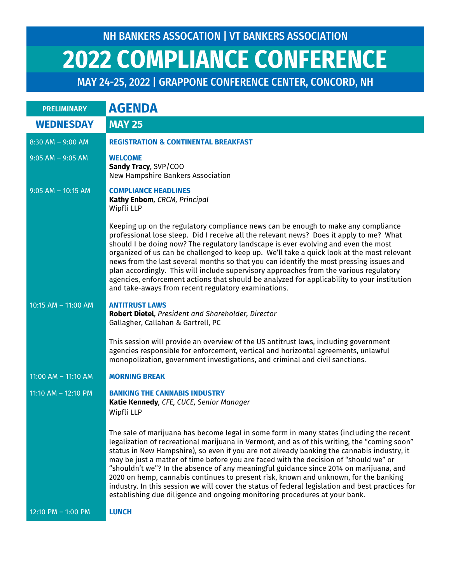| <b>PRELIMINARY</b>    | <b>AGENDA</b>                                                                                                                                                                                                                                                                                                                                                                                                                                                                                                                                                                                                                                                                                                                                       |
|-----------------------|-----------------------------------------------------------------------------------------------------------------------------------------------------------------------------------------------------------------------------------------------------------------------------------------------------------------------------------------------------------------------------------------------------------------------------------------------------------------------------------------------------------------------------------------------------------------------------------------------------------------------------------------------------------------------------------------------------------------------------------------------------|
| <b>WEDNESDAY</b>      | <b>MAY 25</b>                                                                                                                                                                                                                                                                                                                                                                                                                                                                                                                                                                                                                                                                                                                                       |
| $8:30$ AM - 9:00 AM   | <b>REGISTRATION &amp; CONTINENTAL BREAKFAST</b>                                                                                                                                                                                                                                                                                                                                                                                                                                                                                                                                                                                                                                                                                                     |
| $9:05$ AM - $9:05$ AM | <b>WELCOME</b><br>Sandy Tracy, SVP/COO<br>New Hampshire Bankers Association                                                                                                                                                                                                                                                                                                                                                                                                                                                                                                                                                                                                                                                                         |
| $9:05$ AM - 10:15 AM  | <b>COMPLIANCE HEADLINES</b><br>Kathy Enbom, CRCM, Principal<br>Wipfli LLP                                                                                                                                                                                                                                                                                                                                                                                                                                                                                                                                                                                                                                                                           |
|                       | Keeping up on the regulatory compliance news can be enough to make any compliance<br>professional lose sleep. Did I receive all the relevant news? Does it apply to me? What<br>should I be doing now? The regulatory landscape is ever evolving and even the most<br>organized of us can be challenged to keep up. We'll take a quick look at the most relevant<br>news from the last several months so that you can identify the most pressing issues and<br>plan accordingly. This will include supervisory approaches from the various regulatory<br>agencies, enforcement actions that should be analyzed for applicability to your institution<br>and take-aways from recent regulatory examinations.                                         |
| 10:15 AM $-$ 11:00 AM | <b>ANTITRUST LAWS</b><br>Robert Dietel, President and Shareholder, Director<br>Gallagher, Callahan & Gartrell, PC                                                                                                                                                                                                                                                                                                                                                                                                                                                                                                                                                                                                                                   |
|                       | This session will provide an overview of the US antitrust laws, including government<br>agencies responsible for enforcement, vertical and horizontal agreements, unlawful<br>monopolization, government investigations, and criminal and civil sanctions.                                                                                                                                                                                                                                                                                                                                                                                                                                                                                          |
| 11:00 AM - 11:10 AM   | <b>MORNING BREAK</b>                                                                                                                                                                                                                                                                                                                                                                                                                                                                                                                                                                                                                                                                                                                                |
| 11:10 AM - 12:10 PM   | <b>BANKING THE CANNABIS INDUSTRY</b><br>Katie Kennedy, CFE, CUCE, Senior Manager<br>Wipfli LLP                                                                                                                                                                                                                                                                                                                                                                                                                                                                                                                                                                                                                                                      |
|                       | The sale of marijuana has become legal in some form in many states (including the recent<br>legalization of recreational marijuana in Vermont, and as of this writing, the "coming soon"<br>status in New Hampshire), so even if you are not already banking the cannabis industry, it<br>may be just a matter of time before you are faced with the decision of "should we" or<br>"shouldn't we"? In the absence of any meaningful guidance since 2014 on marijuana, and<br>2020 on hemp, cannabis continues to present risk, known and unknown, for the banking<br>industry. In this session we will cover the status of federal legislation and best practices for<br>establishing due diligence and ongoing monitoring procedures at your bank. |
| 12:10 PM - 1:00 PM    | <b>LUNCH</b>                                                                                                                                                                                                                                                                                                                                                                                                                                                                                                                                                                                                                                                                                                                                        |